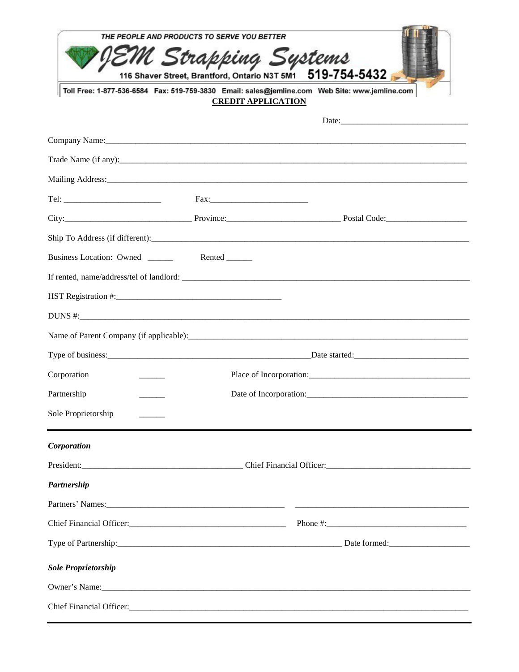|                                                                                                                                                                              | THE PEOPLE AND PRODUCTS TO SERVE YOU BETTER                  |                                 |  |  |
|------------------------------------------------------------------------------------------------------------------------------------------------------------------------------|--------------------------------------------------------------|---------------------------------|--|--|
|                                                                                                                                                                              | M Strapping Systems                                          | 519-754-5432                    |  |  |
| 116 Shaver Street, Brantford, Ontario N3T 5M1<br>Toll Free: 1-877-536-6584 Fax: 519-759-3830 Email: sales@jemline.com Web Site: www.jemline.com<br><b>CREDIT APPLICATION</b> |                                                              |                                 |  |  |
|                                                                                                                                                                              |                                                              |                                 |  |  |
|                                                                                                                                                                              |                                                              |                                 |  |  |
|                                                                                                                                                                              |                                                              |                                 |  |  |
|                                                                                                                                                                              |                                                              |                                 |  |  |
|                                                                                                                                                                              |                                                              |                                 |  |  |
|                                                                                                                                                                              |                                                              |                                 |  |  |
|                                                                                                                                                                              |                                                              | Ship To Address (if different): |  |  |
| Business Location: Owned ________ Rented ______                                                                                                                              |                                                              |                                 |  |  |
|                                                                                                                                                                              |                                                              |                                 |  |  |
|                                                                                                                                                                              |                                                              |                                 |  |  |
|                                                                                                                                                                              |                                                              |                                 |  |  |
|                                                                                                                                                                              |                                                              |                                 |  |  |
|                                                                                                                                                                              |                                                              |                                 |  |  |
| Corporation                                                                                                                                                                  | Place of Incorporation:                                      |                                 |  |  |
| Partnership                                                                                                                                                                  | Date of Incorporation:                                       |                                 |  |  |
| Sole Proprietorship                                                                                                                                                          |                                                              |                                 |  |  |
| Corporation                                                                                                                                                                  |                                                              |                                 |  |  |
|                                                                                                                                                                              | President: Chief Financial Officer: Chief Financial Officer: |                                 |  |  |
| Partnership                                                                                                                                                                  |                                                              |                                 |  |  |
|                                                                                                                                                                              |                                                              |                                 |  |  |
|                                                                                                                                                                              |                                                              |                                 |  |  |
|                                                                                                                                                                              |                                                              |                                 |  |  |
| <b>Sole Proprietorship</b>                                                                                                                                                   |                                                              |                                 |  |  |
|                                                                                                                                                                              |                                                              |                                 |  |  |
|                                                                                                                                                                              |                                                              |                                 |  |  |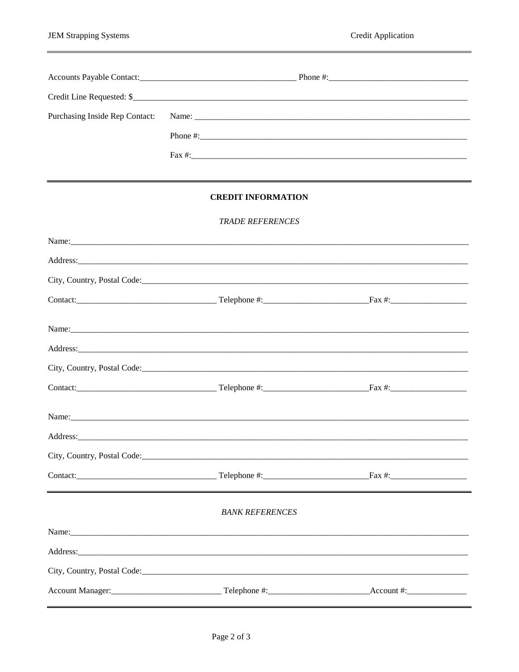| Purchasing Inside Rep Contact: |                                                                                                                                                                                                                               |  |  |
|--------------------------------|-------------------------------------------------------------------------------------------------------------------------------------------------------------------------------------------------------------------------------|--|--|
|                                |                                                                                                                                                                                                                               |  |  |
|                                |                                                                                                                                                                                                                               |  |  |
|                                |                                                                                                                                                                                                                               |  |  |
|                                | <b>CREDIT INFORMATION</b>                                                                                                                                                                                                     |  |  |
|                                | <b>TRADE REFERENCES</b>                                                                                                                                                                                                       |  |  |
|                                |                                                                                                                                                                                                                               |  |  |
|                                |                                                                                                                                                                                                                               |  |  |
|                                |                                                                                                                                                                                                                               |  |  |
|                                |                                                                                                                                                                                                                               |  |  |
|                                |                                                                                                                                                                                                                               |  |  |
|                                |                                                                                                                                                                                                                               |  |  |
|                                |                                                                                                                                                                                                                               |  |  |
|                                |                                                                                                                                                                                                                               |  |  |
|                                | Name: Name and the second contract of the second contract of the second contract of the second contract of the second contract of the second contract of the second contract of the second contract of the second contract of |  |  |
|                                |                                                                                                                                                                                                                               |  |  |
|                                |                                                                                                                                                                                                                               |  |  |
|                                |                                                                                                                                                                                                                               |  |  |
|                                | <b>BANK REFERENCES</b>                                                                                                                                                                                                        |  |  |
|                                |                                                                                                                                                                                                                               |  |  |
|                                |                                                                                                                                                                                                                               |  |  |
|                                |                                                                                                                                                                                                                               |  |  |
|                                | Account Manager:<br>1990 - Telephone #:<br>Telephone #:<br>1990 - Account #:<br>1990 - Account #:<br>1990 - Account #:<br>1990 - Account #:<br>1990 - Account #:                                                              |  |  |